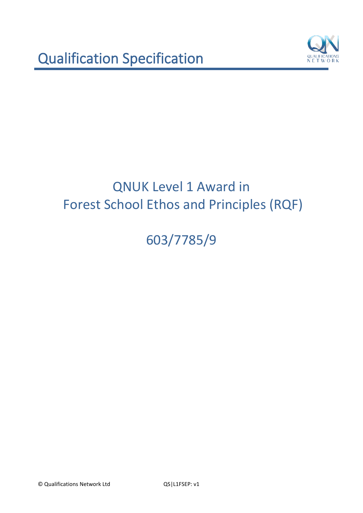

# 603/7785/9

© Qualifications Network Ltd QS|L1FSEP: v1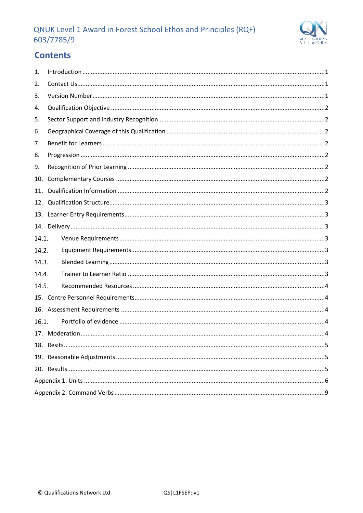

## **Contents**

| 1.    |  |  |  |  |
|-------|--|--|--|--|
| 2.    |  |  |  |  |
| 3.    |  |  |  |  |
| 4.    |  |  |  |  |
| 5.    |  |  |  |  |
| 6.    |  |  |  |  |
| 7.    |  |  |  |  |
| 8.    |  |  |  |  |
| 9.    |  |  |  |  |
| 10.   |  |  |  |  |
| 11.   |  |  |  |  |
| 12.   |  |  |  |  |
| 13.   |  |  |  |  |
|       |  |  |  |  |
| 14.1. |  |  |  |  |
| 14.2. |  |  |  |  |
| 14.3. |  |  |  |  |
| 14.4. |  |  |  |  |
| 14.5. |  |  |  |  |
|       |  |  |  |  |
|       |  |  |  |  |
| 16.1. |  |  |  |  |
|       |  |  |  |  |
|       |  |  |  |  |
|       |  |  |  |  |
|       |  |  |  |  |
|       |  |  |  |  |
|       |  |  |  |  |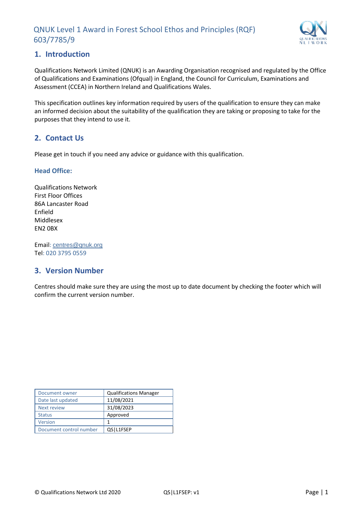

## <span id="page-2-0"></span>**1. Introduction**

Qualifications Network Limited (QNUK) is an Awarding Organisation recognised and regulated by the Office of Qualifications and Examinations (Ofqual) in England, the Council for Curriculum, Examinations and Assessment (CCEA) in Northern Ireland and Qualifications Wales.

This specification outlines key information required by users of the qualification to ensure they can make an informed decision about the suitability of the qualification they are taking or proposing to take for the purposes that they intend to use it.

## <span id="page-2-1"></span>**2. Contact Us**

Please get in touch if you need any advice or guidance with this qualification.

#### **Head Office:**

Qualifications Network First Floor Offices 86A Lancaster Road Enfield Middlesex EN2 0BX

Email: [centres@qnuk.org](mailto:CentreSupport@Qualifications-Network.co.uk) Tel: 020 3795 0559

## <span id="page-2-2"></span>**3. Version Number**

Centres should make sure they are using the most up to date document by checking the footer which will confirm the current version number.

| Document owner          | <b>Qualifications Manager</b> |
|-------------------------|-------------------------------|
| Date last updated       | 11/08/2021                    |
| <b>Next review</b>      | 31/08/2023                    |
| <b>Status</b>           | Approved                      |
| Version                 | 1                             |
| Document control number | OSIL1FSEP                     |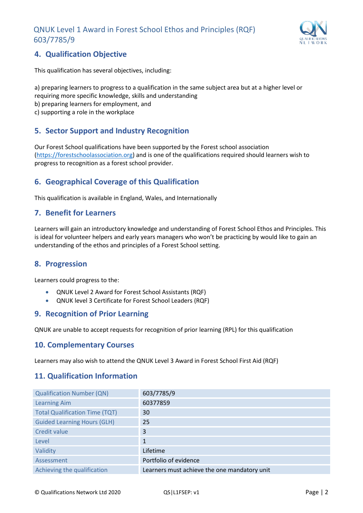

## <span id="page-3-0"></span>**4. Qualification Objective**

This qualification has several objectives, including:

a) preparing learners to progress to a qualification in the same subject area but at a higher level or requiring more specific knowledge, skills and understanding b) preparing learners for employment, and c) supporting a role in the workplace

## <span id="page-3-1"></span>**5. Sector Support and Industry Recognition**

Our Forest School qualifications have been supported by the Forest school association [\(https://forestschoolassociation.org\)](https://forestschoolassociation.org/) and is one of the qualifications required should learners wish to progress to recognition as a forest school provider.

## <span id="page-3-2"></span>**6. Geographical Coverage of this Qualification**

This qualification is available in England, Wales, and Internationally

### <span id="page-3-3"></span>**7. Benefit for Learners**

Learners will gain an introductory knowledge and understanding of Forest School Ethos and Principles. This is ideal for volunteer helpers and early years managers who won't be practicing by would like to gain an understanding of the ethos and principles of a Forest School setting.

## <span id="page-3-4"></span>**8. Progression**

Learners could progress to the:

- QNUK Level 2 Award for Forest School Assistants (RQF)
- QNUK level 3 Certificate for Forest School Leaders (RQF)

#### <span id="page-3-5"></span>**9. Recognition of Prior Learning**

QNUK are unable to accept requests for recognition of prior learning (RPL) for this qualification

#### <span id="page-3-6"></span>**10. Complementary Courses**

Learners may also wish to attend the QNUK Level 3 Award in Forest School First Aid (RQF)

#### <span id="page-3-7"></span>**11. Qualification Information**

| <b>Qualification Number (QN)</b>      | 603/7785/9                                   |
|---------------------------------------|----------------------------------------------|
| <b>Learning Aim</b>                   | 60377859                                     |
| <b>Total Qualification Time (TQT)</b> | 30                                           |
| <b>Guided Learning Hours (GLH)</b>    | 25                                           |
| Credit value                          | 3                                            |
| Level                                 | $\mathbf{1}$                                 |
| Validity                              | Lifetime                                     |
| Assessment                            | Portfolio of evidence                        |
| Achieving the qualification           | Learners must achieve the one mandatory unit |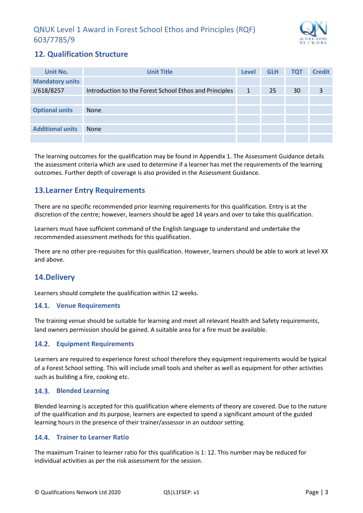

## <span id="page-4-0"></span>**12. Qualification Structure**

| Unit No.                | <b>Unit Title</b>                                      | <b>Level</b> | <b>GLH</b> | <b>TQT</b> | <b>Credit</b> |
|-------------------------|--------------------------------------------------------|--------------|------------|------------|---------------|
| <b>Mandatory units</b>  |                                                        |              |            |            |               |
| J/618/8257              | Introduction to the Forest School Ethos and Principles | 1            | 25         | 30         | 3             |
|                         |                                                        |              |            |            |               |
| <b>Optional units</b>   | <b>None</b>                                            |              |            |            |               |
|                         |                                                        |              |            |            |               |
| <b>Additional units</b> | <b>None</b>                                            |              |            |            |               |
|                         |                                                        |              |            |            |               |

The learning outcomes for the qualification may be found in Appendix 1. The Assessment Guidance details the assessment criteria which are used to determine if a learner has met the requirements of the learning outcomes. Further depth of coverage is also provided in the Assessment Guidance.

## <span id="page-4-1"></span>**13.Learner Entry Requirements**

There are no specific recommended prior learning requirements for this qualification. Entry is at the discretion of the centre; however, learners should be aged 14 years and over to take this qualification.

Learners must have sufficient command of the English language to understand and undertake the recommended assessment methods for this qualification.

There are no other pre-requisites for this qualification. However, learners should be able to work at level XX and above.

## <span id="page-4-2"></span>**14.Delivery**

Learners should complete the qualification within 12 weeks.

#### <span id="page-4-3"></span>**Venue Requirements**

The training venue should be suitable for learning and meet all relevant Health and Safety requirements, land owners permission should be gained. A suitable area for a fire must be available.

#### <span id="page-4-4"></span>**Equipment Requirements**

Learners are required to experience forest school therefore they equipment requirements would be typical of a Forest School setting. This will include small tools and shelter as well as equipment for other activities such as building a fire, cooking etc.

#### <span id="page-4-5"></span>**Blended Learning**

Blended learning is accepted for this qualification where elements of theory are covered. Due to the nature of the qualification and its purpose, learners are expected to spend a significant amount of the guided learning hours in the presence of their trainer/assessor in an outdoor setting.

#### <span id="page-4-6"></span>**Trainer to Learner Ratio**

The maximum Trainer to learner ratio for this qualification is 1: 12. This number may be reduced for individual activities as per the risk assessment for the session.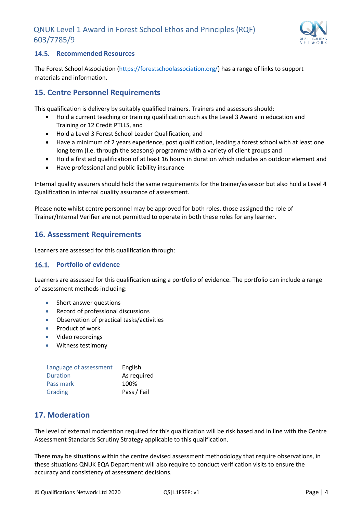

#### <span id="page-5-0"></span>**14.5. Recommended Resources**

The Forest School Association [\(https://forestschoolassociation.org/\)](https://forestschoolassociation.org/) has a range of links to support materials and information.

## <span id="page-5-1"></span>**15. Centre Personnel Requirements**

This qualification is delivery by suitably qualified trainers. Trainers and assessors should:

- Hold a current teaching or training qualification such as the Level 3 Award in education and Training or 12 Credit PTLLS, and
- Hold a Level 3 Forest School Leader Qualification, and
- Have a minimum of 2 years experience, post qualification, leading a forest school with at least one long term (I.e. through the seasons) programme with a variety of client groups and
- Hold a first aid qualification of at least 16 hours in duration which includes an outdoor element and
- Have professional and public liability insurance

Internal quality assurers should hold the same requirements for the trainer/assessor but also hold a Level 4 Qualification in internal quality assurance of assessment.

Please note whilst centre personnel may be approved for both roles, those assigned the role of Trainer/Internal Verifier are not permitted to operate in both these roles for any learner.

## <span id="page-5-2"></span>**16. Assessment Requirements**

Learners are assessed for this qualification through:

#### <span id="page-5-3"></span>16.1. Portfolio of evidence

Learners are assessed for this qualification using a portfolio of evidence. The portfolio can include a range of assessment methods including:

- Short answer questions
- Record of professional discussions
- Observation of practical tasks/activities
- Product of work
- Video recordings
- Witness testimony

| Language of assessment | English     |
|------------------------|-------------|
| <b>Duration</b>        | As required |
| Pass mark              | 100%        |
| Grading                | Pass / Fail |

## <span id="page-5-4"></span>**17. Moderation**

The level of external moderation required for this qualification will be risk based and in line with the Centre Assessment Standards Scrutiny Strategy applicable to this qualification.

There may be situations within the centre devised assessment methodology that require observations, in these situations QNUK EQA Department will also require to conduct verification visits to ensure the accuracy and consistency of assessment decisions.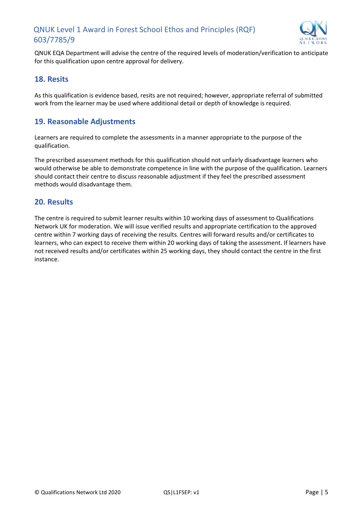

QNUK EQA Department will advise the centre of the required levels of moderation/verification to anticipate for this qualification upon centre approval for delivery.

#### <span id="page-6-0"></span>**18. Resits**

As this qualification is evidence based, resits are not required; however, appropriate referral of submitted work from the learner may be used where additional detail or depth of knowledge is required.

#### <span id="page-6-1"></span>**19. Reasonable Adjustments**

Learners are required to complete the assessments in a manner appropriate to the purpose of the qualification.

The prescribed assessment methods for this qualification should not unfairly disadvantage learners who would otherwise be able to demonstrate competence in line with the purpose of the qualification. Learners should contact their centre to discuss reasonable adjustment if they feel the prescribed assessment methods would disadvantage them.

#### <span id="page-6-2"></span>**20. Results**

The centre is required to submit learner results within 10 working days of assessment to Qualifications Network UK for moderation. We will issue verified results and appropriate certification to the approved centre within 7 working days of receiving the results. Centres will forward results and/or certificates to learners, who can expect to receive them within 20 working days of taking the assessment. If learners have not received results and/or certificates within 25 working days, they should contact the centre in the first instance.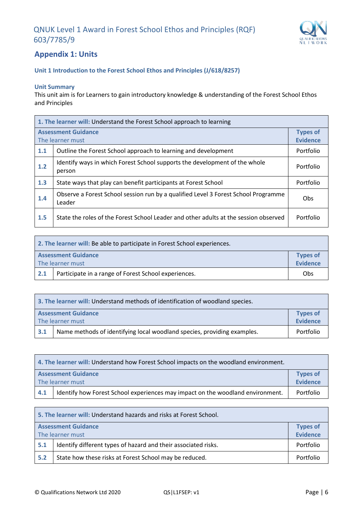

## <span id="page-7-0"></span>**Appendix 1: Units**

#### **Unit 1 Introduction to the Forest School Ethos and Principles (J/618/8257)**

#### **Unit Summary**

This unit aim is for Learners to gain introductory knowledge & understanding of the Forest School Ethos and Principles

| 1. The learner will: Understand the Forest School approach to learning |                                                                                              |           |
|------------------------------------------------------------------------|----------------------------------------------------------------------------------------------|-----------|
| <b>Assessment Guidance</b><br>The learner must                         |                                                                                              |           |
| 1.1                                                                    | Outline the Forest School approach to learning and development                               | Portfolio |
| 1.2                                                                    | Identify ways in which Forest School supports the development of the whole<br>person         | Portfolio |
| 1.3                                                                    | State ways that play can benefit participants at Forest School                               | Portfolio |
| 1.4                                                                    | Observe a Forest School session run by a qualified Level 3 Forest School Programme<br>Leader | Obs       |
| 1.5                                                                    | State the roles of the Forest School Leader and other adults at the session observed         | Portfolio |

| 2. The learner will: Be able to participate in Forest School experiences. |                                                      |                                    |
|---------------------------------------------------------------------------|------------------------------------------------------|------------------------------------|
|                                                                           | <b>Assessment Guidance</b><br>The learner must       | <b>Types of</b><br><b>Evidence</b> |
| 2.1                                                                       | Participate in a range of Forest School experiences. | Obs                                |

| 3. The learner will: Understand methods of identification of woodland species. |                                                                         |           |
|--------------------------------------------------------------------------------|-------------------------------------------------------------------------|-----------|
| <b>Types of</b><br><b>Assessment Guidance</b><br><b>Evidence</b>               |                                                                         |           |
| The learner must                                                               |                                                                         |           |
| 3.1                                                                            | Name methods of identifying local woodland species, providing examples. | Portfolio |

| 4. The learner will: Understand how Forest School impacts on the woodland environment. |                                                                                |           |  |
|----------------------------------------------------------------------------------------|--------------------------------------------------------------------------------|-----------|--|
| <b>Assessment Guidance</b><br><b>Types of</b>                                          |                                                                                |           |  |
| The learner must                                                                       |                                                                                |           |  |
| 4.1                                                                                    | Identify how Forest School experiences may impact on the woodland environment. | Portfolio |  |

| 5. The learner will: Understand hazards and risks at Forest School. |                                                                |                 |  |
|---------------------------------------------------------------------|----------------------------------------------------------------|-----------------|--|
|                                                                     | <b>Assessment Guidance</b><br><b>Types of</b>                  |                 |  |
| The learner must                                                    |                                                                | <b>Evidence</b> |  |
| 5.1                                                                 | Identify different types of hazard and their associated risks. | Portfolio       |  |
| 5.2                                                                 | State how these risks at Forest School may be reduced.         | Portfolio       |  |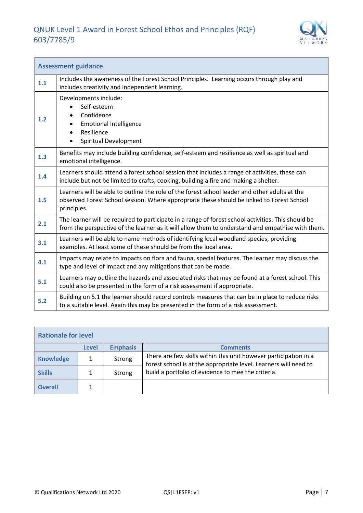

| <b>Assessment guidance</b> |                                                                                                                                                                                                           |  |  |  |
|----------------------------|-----------------------------------------------------------------------------------------------------------------------------------------------------------------------------------------------------------|--|--|--|
| 1.1                        | Includes the awareness of the Forest School Principles. Learning occurs through play and<br>includes creativity and independent learning.                                                                 |  |  |  |
| 1.2                        | Developments include:<br>Self-esteem<br>Confidence<br><b>Emotional Intelligence</b><br>Resilience<br>Spiritual Development                                                                                |  |  |  |
| 1.3                        | Benefits may include building confidence, self-esteem and resilience as well as spiritual and<br>emotional intelligence.                                                                                  |  |  |  |
| 1.4                        | Learners should attend a forest school session that includes a range of activities, these can<br>include but not be limited to crafts, cooking, building a fire and making a shelter.                     |  |  |  |
| 1.5                        | Learners will be able to outline the role of the forest school leader and other adults at the<br>observed Forest School session. Where appropriate these should be linked to Forest School<br>principles. |  |  |  |
| 2.1                        | The learner will be required to participate in a range of forest school activities. This should be<br>from the perspective of the learner as it will allow them to understand and empathise with them.    |  |  |  |
| 3.1                        | Learners will be able to name methods of identifying local woodland species, providing<br>examples. At least some of these should be from the local area.                                                 |  |  |  |
| 4.1                        | Impacts may relate to impacts on flora and fauna, special features. The learner may discuss the<br>type and level of impact and any mitigations that can be made.                                         |  |  |  |
| 5.1                        | Learners may outline the hazards and associated risks that may be found at a forest school. This<br>could also be presented in the form of a risk assessment if appropriate.                              |  |  |  |
| 5.2                        | Building on 5.1 the learner should record controls measures that can be in place to reduce risks<br>to a suitable level. Again this may be presented in the form of a risk assessment.                    |  |  |  |

| <b>Rationale for level</b> |              |                 |                                                                                                                                      |  |
|----------------------------|--------------|-----------------|--------------------------------------------------------------------------------------------------------------------------------------|--|
|                            | <b>Level</b> | <b>Emphasis</b> | <b>Comments</b>                                                                                                                      |  |
| <b>Knowledge</b>           | 1            | Strong          | There are few skills within this unit however participation in a<br>forest school is at the appropriate level. Learners will need to |  |
| <b>Skills</b>              | 1            | Strong          | build a portfolio of evidence to mee the criteria.                                                                                   |  |
| <b>Overall</b>             |              |                 |                                                                                                                                      |  |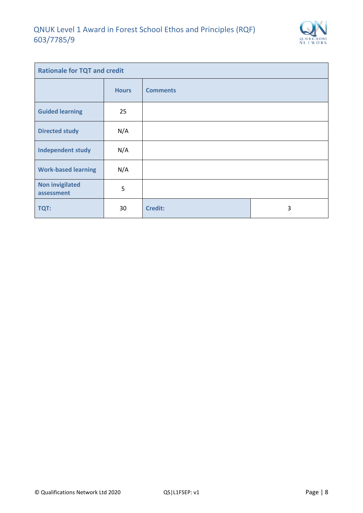

| <b>Rationale for TQT and credit</b>  |              |                 |   |
|--------------------------------------|--------------|-----------------|---|
|                                      | <b>Hours</b> | <b>Comments</b> |   |
| <b>Guided learning</b>               | 25           |                 |   |
| <b>Directed study</b>                | N/A          |                 |   |
| <b>Independent study</b>             | N/A          |                 |   |
| <b>Work-based learning</b>           | N/A          |                 |   |
| <b>Non invigilated</b><br>assessment | 5            |                 |   |
| TQT:                                 | 30           | <b>Credit:</b>  | 3 |